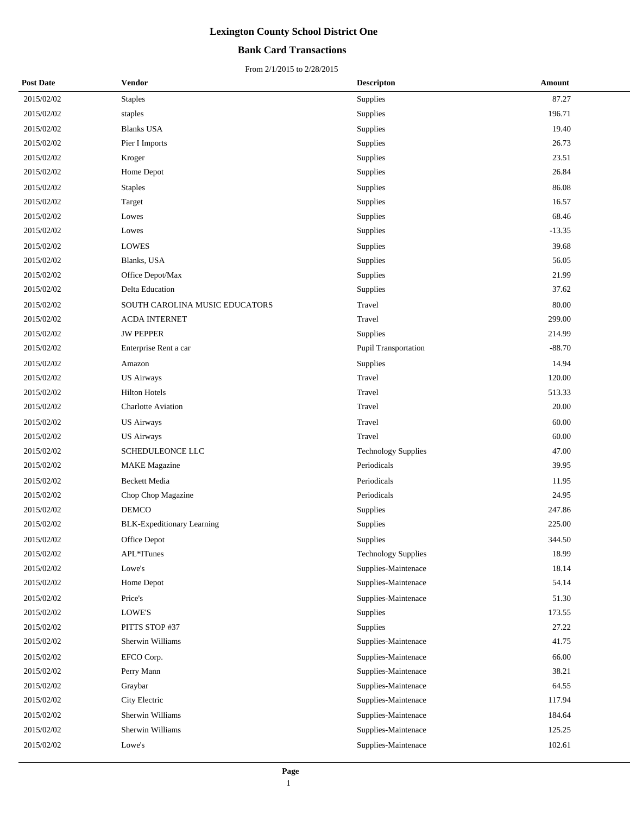## **Bank Card Transactions**

| <b>Post Date</b> | <b>Vendor</b>                     | <b>Descripton</b>          | Amount   |
|------------------|-----------------------------------|----------------------------|----------|
| 2015/02/02       | <b>Staples</b>                    | Supplies                   | 87.27    |
| 2015/02/02       | staples                           | Supplies                   | 196.71   |
| 2015/02/02       | <b>Blanks USA</b>                 | Supplies                   | 19.40    |
| 2015/02/02       | Pier I Imports                    | Supplies                   | 26.73    |
| 2015/02/02       | Kroger                            | Supplies                   | 23.51    |
| 2015/02/02       | Home Depot                        | Supplies                   | 26.84    |
| 2015/02/02       | <b>Staples</b>                    | Supplies                   | 86.08    |
| 2015/02/02       | Target                            | Supplies                   | 16.57    |
| 2015/02/02       | Lowes                             | Supplies                   | 68.46    |
| 2015/02/02       | Lowes                             | Supplies                   | $-13.35$ |
| 2015/02/02       | <b>LOWES</b>                      | Supplies                   | 39.68    |
| 2015/02/02       | Blanks, USA                       | Supplies                   | 56.05    |
| 2015/02/02       | Office Depot/Max                  | Supplies                   | 21.99    |
| 2015/02/02       | Delta Education                   | Supplies                   | 37.62    |
| 2015/02/02       | SOUTH CAROLINA MUSIC EDUCATORS    | Travel                     | 80.00    |
| 2015/02/02       | <b>ACDA INTERNET</b>              | Travel                     | 299.00   |
| 2015/02/02       | <b>JW PEPPER</b>                  | Supplies                   | 214.99   |
| 2015/02/02       | Enterprise Rent a car             | Pupil Transportation       | $-88.70$ |
| 2015/02/02       | Amazon                            | Supplies                   | 14.94    |
| 2015/02/02       | <b>US Airways</b>                 | Travel                     | 120.00   |
| 2015/02/02       | <b>Hilton Hotels</b>              | Travel                     | 513.33   |
| 2015/02/02       | <b>Charlotte Aviation</b>         | Travel                     | 20.00    |
| 2015/02/02       | <b>US Airways</b>                 | Travel                     | 60.00    |
| 2015/02/02       | <b>US Airways</b>                 | Travel                     | 60.00    |
| 2015/02/02       | SCHEDULEONCE LLC                  | <b>Technology Supplies</b> | 47.00    |
| 2015/02/02       | <b>MAKE</b> Magazine              | Periodicals                | 39.95    |
| 2015/02/02       | <b>Beckett Media</b>              | Periodicals                | 11.95    |
| 2015/02/02       | Chop Chop Magazine                | Periodicals                | 24.95    |
| 2015/02/02       | <b>DEMCO</b>                      | Supplies                   | 247.86   |
| 2015/02/02       | <b>BLK-Expeditionary Learning</b> | Supplies                   | 225.00   |
| 2015/02/02       | Office Depot                      | Supplies                   | 344.50   |
| 2015/02/02       | APL*ITunes                        | <b>Technology Supplies</b> | 18.99    |
| 2015/02/02       | Lowe's                            | Supplies-Maintenace        | 18.14    |
| 2015/02/02       | Home Depot                        | Supplies-Maintenace        | 54.14    |
| 2015/02/02       | Price's                           | Supplies-Maintenace        | 51.30    |
| 2015/02/02       | LOWE'S                            | Supplies                   | 173.55   |
| 2015/02/02       | PITTS STOP #37                    | Supplies                   | 27.22    |
| 2015/02/02       | Sherwin Williams                  | Supplies-Maintenace        | 41.75    |
| 2015/02/02       | EFCO Corp.                        | Supplies-Maintenace        | 66.00    |
| 2015/02/02       | Perry Mann                        | Supplies-Maintenace        | 38.21    |
| 2015/02/02       | Graybar                           | Supplies-Maintenace        | 64.55    |
| 2015/02/02       | City Electric                     | Supplies-Maintenace        | 117.94   |
| 2015/02/02       | Sherwin Williams                  | Supplies-Maintenace        | 184.64   |
| 2015/02/02       | Sherwin Williams                  | Supplies-Maintenace        | 125.25   |
| 2015/02/02       | Lowe's                            | Supplies-Maintenace        | 102.61   |
|                  |                                   |                            |          |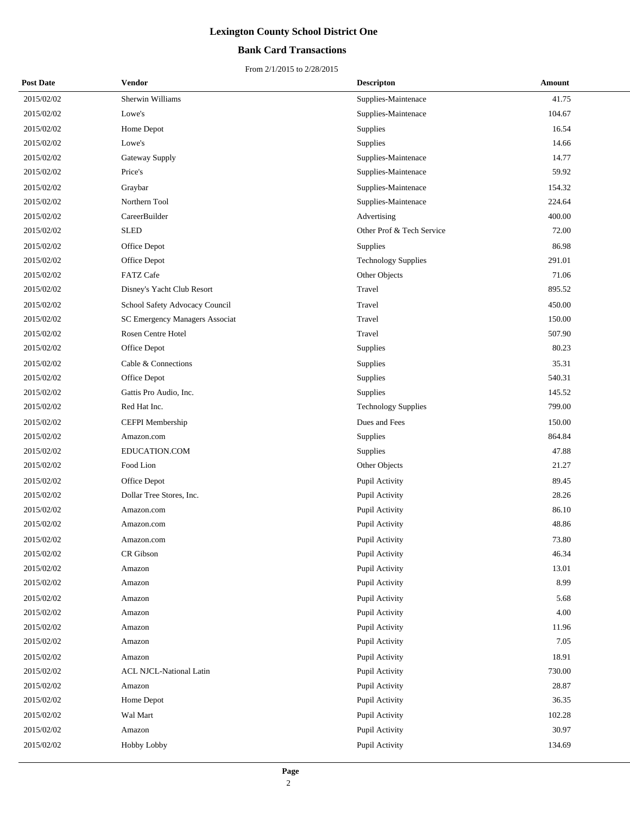## **Bank Card Transactions**

| <b>Post Date</b> | Vendor                         | <b>Descripton</b>          | Amount |
|------------------|--------------------------------|----------------------------|--------|
| 2015/02/02       | Sherwin Williams               | Supplies-Maintenace        | 41.75  |
| 2015/02/02       | Lowe's                         | Supplies-Maintenace        | 104.67 |
| 2015/02/02       | Home Depot                     | Supplies                   | 16.54  |
| 2015/02/02       | Lowe's                         | Supplies                   | 14.66  |
| 2015/02/02       | Gateway Supply                 | Supplies-Maintenace        | 14.77  |
| 2015/02/02       | Price's                        | Supplies-Maintenace        | 59.92  |
| 2015/02/02       | Graybar                        | Supplies-Maintenace        | 154.32 |
| 2015/02/02       | Northern Tool                  | Supplies-Maintenace        | 224.64 |
| 2015/02/02       | CareerBuilder                  | Advertising                | 400.00 |
| 2015/02/02       | <b>SLED</b>                    | Other Prof & Tech Service  | 72.00  |
| 2015/02/02       | Office Depot                   | <b>Supplies</b>            | 86.98  |
| 2015/02/02       | Office Depot                   | <b>Technology Supplies</b> | 291.01 |
| 2015/02/02       | <b>FATZ Cafe</b>               | Other Objects              | 71.06  |
| 2015/02/02       | Disney's Yacht Club Resort     | Travel                     | 895.52 |
| 2015/02/02       | School Safety Advocacy Council | Travel                     | 450.00 |
| 2015/02/02       | SC Emergency Managers Associat | Travel                     | 150.00 |
| 2015/02/02       | Rosen Centre Hotel             | Travel                     | 507.90 |
| 2015/02/02       | Office Depot                   | Supplies                   | 80.23  |
| 2015/02/02       | Cable & Connections            | Supplies                   | 35.31  |
| 2015/02/02       | Office Depot                   | Supplies                   | 540.31 |
| 2015/02/02       | Gattis Pro Audio, Inc.         | Supplies                   | 145.52 |
| 2015/02/02       | Red Hat Inc.                   | <b>Technology Supplies</b> | 799.00 |
| 2015/02/02       | CEFPI Membership               | Dues and Fees              | 150.00 |
| 2015/02/02       | Amazon.com                     | Supplies                   | 864.84 |
| 2015/02/02       | EDUCATION.COM                  | Supplies                   | 47.88  |
| 2015/02/02       | Food Lion                      | Other Objects              | 21.27  |
| 2015/02/02       | Office Depot                   | Pupil Activity             | 89.45  |
| 2015/02/02       | Dollar Tree Stores, Inc.       | Pupil Activity             | 28.26  |
| 2015/02/02       | Amazon.com                     | Pupil Activity             | 86.10  |
| 2015/02/02       | Amazon.com                     | Pupil Activity             | 48.86  |
| 2015/02/02       | Amazon.com                     | Pupil Activity             | 73.80  |
| 2015/02/02       | CR Gibson                      | Pupil Activity             | 46.34  |
| 2015/02/02       | Amazon                         | Pupil Activity             | 13.01  |
| 2015/02/02       | Amazon                         | Pupil Activity             | 8.99   |
| 2015/02/02       | Amazon                         | Pupil Activity             | 5.68   |
| 2015/02/02       | Amazon                         | Pupil Activity             | 4.00   |
| 2015/02/02       | Amazon                         | Pupil Activity             | 11.96  |
| 2015/02/02       | Amazon                         | Pupil Activity             | 7.05   |
| 2015/02/02       | Amazon                         | Pupil Activity             | 18.91  |
| 2015/02/02       | <b>ACL NJCL-National Latin</b> | Pupil Activity             | 730.00 |
| 2015/02/02       | Amazon                         | Pupil Activity             | 28.87  |
| 2015/02/02       | Home Depot                     | Pupil Activity             | 36.35  |
| 2015/02/02       | Wal Mart                       | Pupil Activity             | 102.28 |
| 2015/02/02       | Amazon                         | Pupil Activity             | 30.97  |
| 2015/02/02       | Hobby Lobby                    | Pupil Activity             | 134.69 |
|                  |                                |                            |        |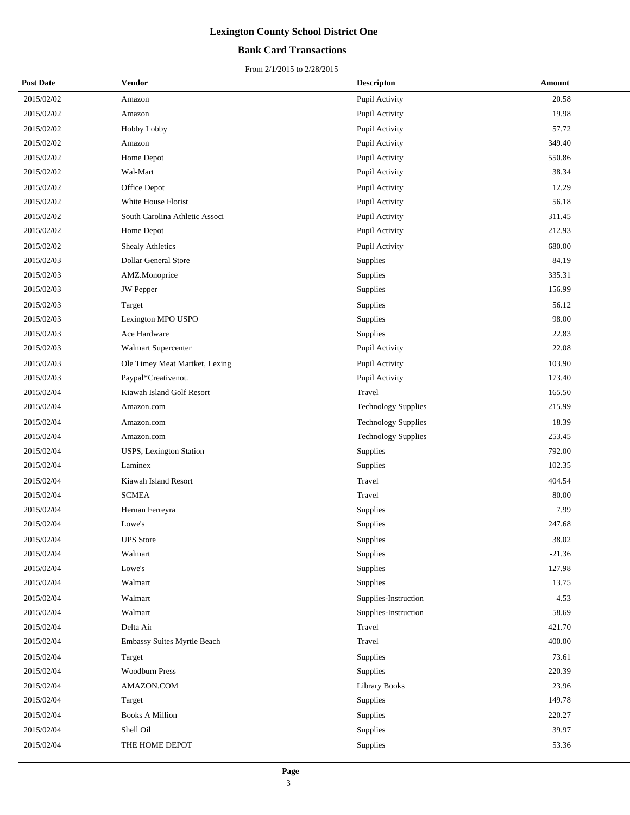## **Bank Card Transactions**

| <b>Post Date</b> | Vendor                         | <b>Descripton</b>          | Amount   |
|------------------|--------------------------------|----------------------------|----------|
| 2015/02/02       | Amazon                         | Pupil Activity             | 20.58    |
| 2015/02/02       | Amazon                         | Pupil Activity             | 19.98    |
| 2015/02/02       | Hobby Lobby                    | Pupil Activity             | 57.72    |
| 2015/02/02       | Amazon                         | Pupil Activity             | 349.40   |
| 2015/02/02       | Home Depot                     | Pupil Activity             | 550.86   |
| 2015/02/02       | Wal-Mart                       | Pupil Activity             | 38.34    |
| 2015/02/02       | Office Depot                   | Pupil Activity             | 12.29    |
| 2015/02/02       | White House Florist            | Pupil Activity             | 56.18    |
| 2015/02/02       | South Carolina Athletic Associ | Pupil Activity             | 311.45   |
| 2015/02/02       | Home Depot                     | Pupil Activity             | 212.93   |
| 2015/02/02       | <b>Shealy Athletics</b>        | Pupil Activity             | 680.00   |
| 2015/02/03       | Dollar General Store           | Supplies                   | 84.19    |
| 2015/02/03       | AMZ.Monoprice                  | <b>Supplies</b>            | 335.31   |
| 2015/02/03       | <b>JW</b> Pepper               | Supplies                   | 156.99   |
| 2015/02/03       | Target                         | Supplies                   | 56.12    |
| 2015/02/03       | Lexington MPO USPO             | Supplies                   | 98.00    |
| 2015/02/03       | Ace Hardware                   | Supplies                   | 22.83    |
| 2015/02/03       | Walmart Supercenter            | Pupil Activity             | 22.08    |
| 2015/02/03       | Ole Timey Meat Martket, Lexing | Pupil Activity             | 103.90   |
| 2015/02/03       | Paypal*Creativenot.            | Pupil Activity             | 173.40   |
| 2015/02/04       | Kiawah Island Golf Resort      | Travel                     | 165.50   |
| 2015/02/04       | Amazon.com                     | <b>Technology Supplies</b> | 215.99   |
| 2015/02/04       | Amazon.com                     | <b>Technology Supplies</b> | 18.39    |
| 2015/02/04       | Amazon.com                     | <b>Technology Supplies</b> | 253.45   |
| 2015/02/04       | USPS, Lexington Station        | Supplies                   | 792.00   |
| 2015/02/04       | Laminex                        | Supplies                   | 102.35   |
| 2015/02/04       | Kiawah Island Resort           | Travel                     | 404.54   |
| 2015/02/04       | <b>SCMEA</b>                   | Travel                     | 80.00    |
| 2015/02/04       | Hernan Ferreyra                | Supplies                   | 7.99     |
| 2015/02/04       | Lowe's                         | Supplies                   | 247.68   |
| 2015/02/04       | <b>UPS</b> Store               | Supplies                   | 38.02    |
| 2015/02/04       | Walmart                        | Supplies                   | $-21.36$ |
| 2015/02/04       | Lowe's                         | Supplies                   | 127.98   |
| 2015/02/04       | Walmart                        | Supplies                   | 13.75    |
| 2015/02/04       | Walmart                        | Supplies-Instruction       | 4.53     |
| 2015/02/04       | Walmart                        | Supplies-Instruction       | 58.69    |
| 2015/02/04       | Delta Air                      | Travel                     | 421.70   |
| 2015/02/04       | Embassy Suites Myrtle Beach    | Travel                     | 400.00   |
| 2015/02/04       | Target                         | Supplies                   | 73.61    |
| 2015/02/04       | <b>Woodburn Press</b>          | Supplies                   | 220.39   |
| 2015/02/04       | AMAZON.COM                     | <b>Library Books</b>       | 23.96    |
| 2015/02/04       | Target                         | Supplies                   | 149.78   |
| 2015/02/04       | <b>Books A Million</b>         | Supplies                   | 220.27   |
| 2015/02/04       | Shell Oil                      | Supplies                   | 39.97    |
| 2015/02/04       | THE HOME DEPOT                 | Supplies                   | 53.36    |
|                  |                                |                            |          |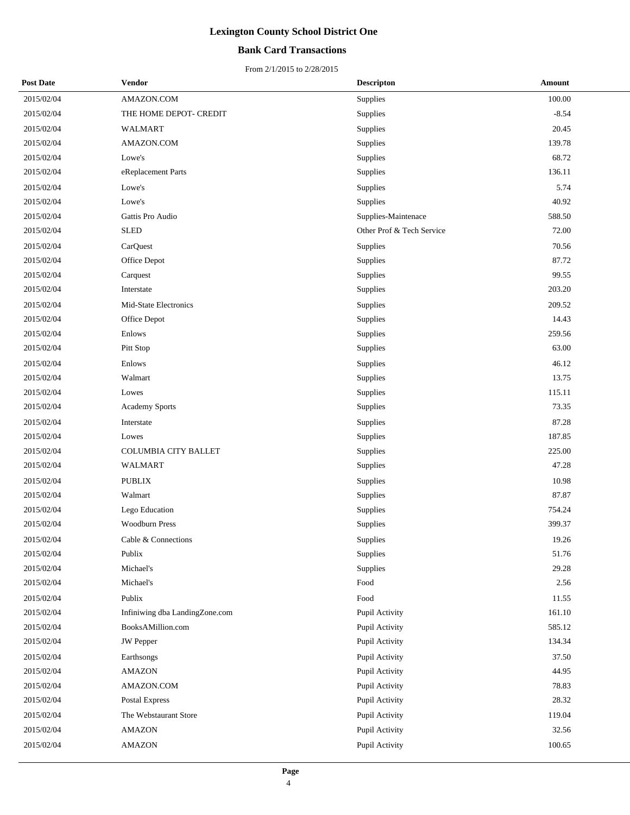## **Bank Card Transactions**

| <b>Post Date</b> | Vendor                         | <b>Descripton</b>         | Amount  |
|------------------|--------------------------------|---------------------------|---------|
| 2015/02/04       | AMAZON.COM                     | Supplies                  | 100.00  |
| 2015/02/04       | THE HOME DEPOT- CREDIT         | Supplies                  | $-8.54$ |
| 2015/02/04       | WALMART                        | Supplies                  | 20.45   |
| 2015/02/04       | AMAZON.COM                     | Supplies                  | 139.78  |
| 2015/02/04       | Lowe's                         | Supplies                  | 68.72   |
| 2015/02/04       | eReplacement Parts             | Supplies                  | 136.11  |
| 2015/02/04       | Lowe's                         | Supplies                  | 5.74    |
| 2015/02/04       | Lowe's                         | Supplies                  | 40.92   |
| 2015/02/04       | Gattis Pro Audio               | Supplies-Maintenace       | 588.50  |
| 2015/02/04       | <b>SLED</b>                    | Other Prof & Tech Service | 72.00   |
| 2015/02/04       | CarQuest                       | Supplies                  | 70.56   |
| 2015/02/04       | Office Depot                   | Supplies                  | 87.72   |
| 2015/02/04       | Carquest                       | Supplies                  | 99.55   |
| 2015/02/04       | Interstate                     | Supplies                  | 203.20  |
| 2015/02/04       | Mid-State Electronics          | Supplies                  | 209.52  |
| 2015/02/04       | Office Depot                   | Supplies                  | 14.43   |
| 2015/02/04       | Enlows                         | Supplies                  | 259.56  |
| 2015/02/04       | Pitt Stop                      | Supplies                  | 63.00   |
| 2015/02/04       | Enlows                         | Supplies                  | 46.12   |
| 2015/02/04       | Walmart                        | Supplies                  | 13.75   |
| 2015/02/04       | Lowes                          | Supplies                  | 115.11  |
| 2015/02/04       | Academy Sports                 | Supplies                  | 73.35   |
| 2015/02/04       | Interstate                     | Supplies                  | 87.28   |
| 2015/02/04       | Lowes                          | Supplies                  | 187.85  |
| 2015/02/04       | <b>COLUMBIA CITY BALLET</b>    | Supplies                  | 225.00  |
| 2015/02/04       | WALMART                        | Supplies                  | 47.28   |
| 2015/02/04       | <b>PUBLIX</b>                  | Supplies                  | 10.98   |
| 2015/02/04       | Walmart                        | Supplies                  | 87.87   |
| 2015/02/04       | Lego Education                 | Supplies                  | 754.24  |
| 2015/02/04       | <b>Woodburn Press</b>          | Supplies                  | 399.37  |
| 2015/02/04       | Cable & Connections            | Supplies                  | 19.26   |
| 2015/02/04       | Publix                         | Supplies                  | 51.76   |
| 2015/02/04       | Michael's                      | Supplies                  | 29.28   |
| 2015/02/04       | Michael's                      | Food                      | 2.56    |
| 2015/02/04       | Publix                         | Food                      | 11.55   |
| 2015/02/04       | Infiniwing dba LandingZone.com | Pupil Activity            | 161.10  |
| 2015/02/04       | BooksAMillion.com              | Pupil Activity            | 585.12  |
| 2015/02/04       | <b>JW</b> Pepper               | Pupil Activity            | 134.34  |
| 2015/02/04       | Earthsongs                     | Pupil Activity            | 37.50   |
| 2015/02/04       | <b>AMAZON</b>                  | Pupil Activity            | 44.95   |
| 2015/02/04       | AMAZON.COM                     | Pupil Activity            | 78.83   |
| 2015/02/04       | Postal Express                 | Pupil Activity            | 28.32   |
| 2015/02/04       | The Webstaurant Store          | Pupil Activity            | 119.04  |
| 2015/02/04       | <b>AMAZON</b>                  | Pupil Activity            | 32.56   |
| 2015/02/04       | <b>AMAZON</b>                  | Pupil Activity            | 100.65  |
|                  |                                |                           |         |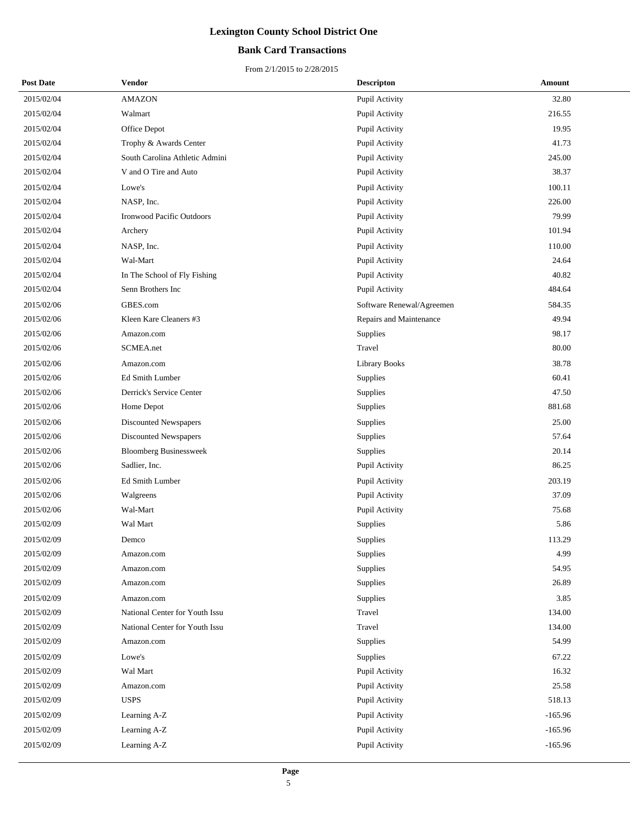## **Bank Card Transactions**

| <b>Post Date</b> | Vendor                           | <b>Descripton</b>         | Amount    |
|------------------|----------------------------------|---------------------------|-----------|
| 2015/02/04       | <b>AMAZON</b>                    | Pupil Activity            | 32.80     |
| 2015/02/04       | Walmart                          | Pupil Activity            | 216.55    |
| 2015/02/04       | Office Depot                     | Pupil Activity            | 19.95     |
| 2015/02/04       | Trophy & Awards Center           | Pupil Activity            | 41.73     |
| 2015/02/04       | South Carolina Athletic Admini   | Pupil Activity            | 245.00    |
| 2015/02/04       | V and O Tire and Auto            | Pupil Activity            | 38.37     |
| 2015/02/04       | Lowe's                           | Pupil Activity            | 100.11    |
| 2015/02/04       | NASP, Inc.                       | Pupil Activity            | 226.00    |
| 2015/02/04       | <b>Ironwood Pacific Outdoors</b> | Pupil Activity            | 79.99     |
| 2015/02/04       | Archery                          | Pupil Activity            | 101.94    |
| 2015/02/04       | NASP, Inc.                       | Pupil Activity            | 110.00    |
| 2015/02/04       | Wal-Mart                         | Pupil Activity            | 24.64     |
| 2015/02/04       | In The School of Fly Fishing     | Pupil Activity            | 40.82     |
| 2015/02/04       | Senn Brothers Inc                | Pupil Activity            | 484.64    |
| 2015/02/06       | GBES.com                         | Software Renewal/Agreemen | 584.35    |
| 2015/02/06       | Kleen Kare Cleaners #3           | Repairs and Maintenance   | 49.94     |
| 2015/02/06       | Amazon.com                       | Supplies                  | 98.17     |
| 2015/02/06       | SCMEA.net                        | Travel                    | 80.00     |
| 2015/02/06       | Amazon.com                       | <b>Library Books</b>      | 38.78     |
| 2015/02/06       | Ed Smith Lumber                  | Supplies                  | 60.41     |
| 2015/02/06       | Derrick's Service Center         | Supplies                  | 47.50     |
| 2015/02/06       | Home Depot                       | Supplies                  | 881.68    |
| 2015/02/06       | Discounted Newspapers            | Supplies                  | 25.00     |
| 2015/02/06       | Discounted Newspapers            | Supplies                  | 57.64     |
| 2015/02/06       | <b>Bloomberg Businessweek</b>    | Supplies                  | 20.14     |
| 2015/02/06       | Sadlier, Inc.                    | Pupil Activity            | 86.25     |
| 2015/02/06       | Ed Smith Lumber                  | Pupil Activity            | 203.19    |
| 2015/02/06       | Walgreens                        | Pupil Activity            | 37.09     |
| 2015/02/06       | Wal-Mart                         | Pupil Activity            | 75.68     |
| 2015/02/09       | Wal Mart                         | Supplies                  | 5.86      |
| 2015/02/09       | Demco                            | Supplies                  | 113.29    |
| 2015/02/09       | Amazon.com                       | Supplies                  | 4.99      |
| 2015/02/09       | Amazon.com                       | <b>Supplies</b>           | 54.95     |
| 2015/02/09       | Amazon.com                       | Supplies                  | 26.89     |
| 2015/02/09       | Amazon.com                       | Supplies                  | 3.85      |
| 2015/02/09       | National Center for Youth Issu   | Travel                    | 134.00    |
| 2015/02/09       | National Center for Youth Issu   | Travel                    | 134.00    |
| 2015/02/09       | Amazon.com                       | <b>Supplies</b>           | 54.99     |
| 2015/02/09       | Lowe's                           | Supplies                  | 67.22     |
| 2015/02/09       | Wal Mart                         | Pupil Activity            | 16.32     |
| 2015/02/09       | Amazon.com                       | Pupil Activity            | 25.58     |
| 2015/02/09       | <b>USPS</b>                      | Pupil Activity            | 518.13    |
| 2015/02/09       | Learning A-Z                     | Pupil Activity            | $-165.96$ |
| 2015/02/09       | Learning A-Z                     | Pupil Activity            | $-165.96$ |
| 2015/02/09       | Learning A-Z                     | Pupil Activity            | $-165.96$ |
|                  |                                  |                           |           |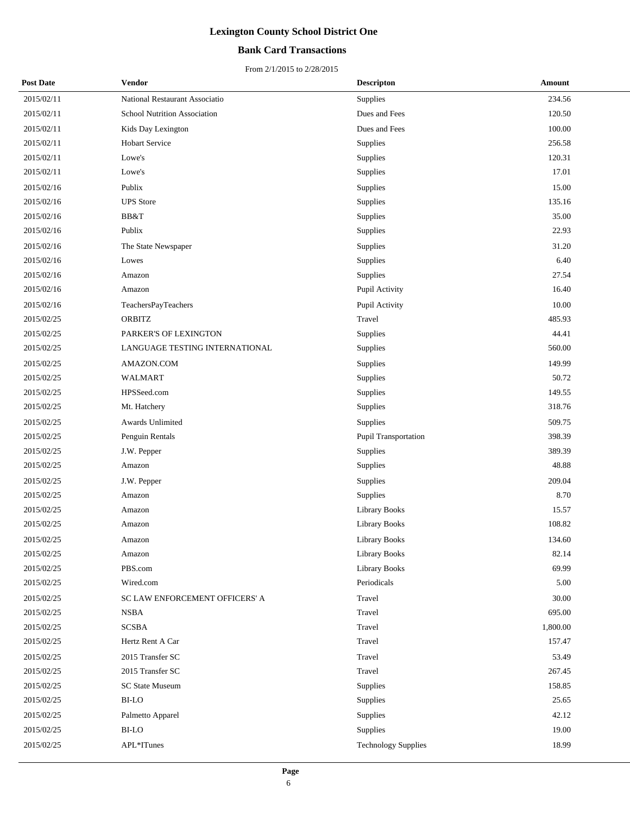## **Bank Card Transactions**

| <b>Post Date</b> | Vendor                         | <b>Descripton</b>          | Amount   |
|------------------|--------------------------------|----------------------------|----------|
| 2015/02/11       | National Restaurant Associatio | Supplies                   | 234.56   |
| 2015/02/11       | School Nutrition Association   | Dues and Fees              | 120.50   |
| 2015/02/11       | Kids Day Lexington             | Dues and Fees              | 100.00   |
| 2015/02/11       | <b>Hobart Service</b>          | Supplies                   | 256.58   |
| 2015/02/11       | Lowe's                         | Supplies                   | 120.31   |
| 2015/02/11       | Lowe's                         | Supplies                   | 17.01    |
| 2015/02/16       | Publix                         | Supplies                   | 15.00    |
| 2015/02/16       | <b>UPS</b> Store               | Supplies                   | 135.16   |
| 2015/02/16       | BB&T                           | Supplies                   | 35.00    |
| 2015/02/16       | Publix                         | Supplies                   | 22.93    |
| 2015/02/16       | The State Newspaper            | Supplies                   | 31.20    |
| 2015/02/16       | Lowes                          | Supplies                   | 6.40     |
| 2015/02/16       | Amazon                         | Supplies                   | 27.54    |
| 2015/02/16       | Amazon                         | Pupil Activity             | 16.40    |
| 2015/02/16       | TeachersPayTeachers            | Pupil Activity             | 10.00    |
| 2015/02/25       | <b>ORBITZ</b>                  | Travel                     | 485.93   |
| 2015/02/25       | PARKER'S OF LEXINGTON          | Supplies                   | 44.41    |
| 2015/02/25       | LANGUAGE TESTING INTERNATIONAL | Supplies                   | 560.00   |
| 2015/02/25       | AMAZON.COM                     | Supplies                   | 149.99   |
| 2015/02/25       | WALMART                        | Supplies                   | 50.72    |
| 2015/02/25       | HPSSeed.com                    | Supplies                   | 149.55   |
| 2015/02/25       | Mt. Hatchery                   | Supplies                   | 318.76   |
| 2015/02/25       | Awards Unlimited               | Supplies                   | 509.75   |
| 2015/02/25       | Penguin Rentals                | Pupil Transportation       | 398.39   |
| 2015/02/25       | J.W. Pepper                    | Supplies                   | 389.39   |
| 2015/02/25       | Amazon                         | Supplies                   | 48.88    |
| 2015/02/25       | J.W. Pepper                    | Supplies                   | 209.04   |
| 2015/02/25       | Amazon                         | Supplies                   | 8.70     |
| 2015/02/25       | Amazon                         | Library Books              | 15.57    |
| 2015/02/25       | Amazon                         | Library Books              | 108.82   |
| 2015/02/25       | Amazon                         | Library Books              | 134.60   |
| 2015/02/25       | Amazon                         | Library Books              | 82.14    |
| 2015/02/25       | PBS.com                        | <b>Library Books</b>       | 69.99    |
| 2015/02/25       | Wired.com                      | Periodicals                | 5.00     |
| 2015/02/25       | SC LAW ENFORCEMENT OFFICERS' A | Travel                     | 30.00    |
| 2015/02/25       | <b>NSBA</b>                    | Travel                     | 695.00   |
| 2015/02/25       | $SCSBA$                        | Travel                     | 1,800.00 |
| 2015/02/25       | Hertz Rent A Car               | Travel                     | 157.47   |
| 2015/02/25       | 2015 Transfer SC               | Travel                     | 53.49    |
| 2015/02/25       | 2015 Transfer SC               | Travel                     | 267.45   |
| 2015/02/25       | SC State Museum                | Supplies                   | 158.85   |
| 2015/02/25       | BI-LO                          | Supplies                   | 25.65    |
| 2015/02/25       | Palmetto Apparel               | Supplies                   | 42.12    |
| 2015/02/25       | <b>BI-LO</b>                   | Supplies                   | 19.00    |
| 2015/02/25       | APL*ITunes                     | <b>Technology Supplies</b> | 18.99    |
|                  |                                |                            |          |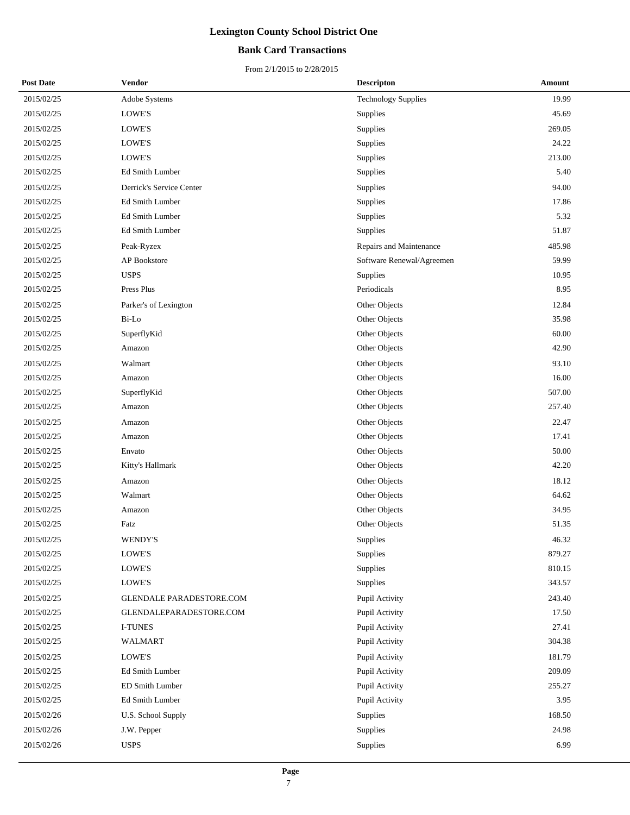## **Bank Card Transactions**

| <b>Post Date</b> | Vendor                   | <b>Descripton</b>          | Amount |
|------------------|--------------------------|----------------------------|--------|
| 2015/02/25       | Adobe Systems            | <b>Technology Supplies</b> | 19.99  |
| 2015/02/25       | <b>LOWE'S</b>            | Supplies                   | 45.69  |
| 2015/02/25       | LOWE'S                   | Supplies                   | 269.05 |
| 2015/02/25       | LOWE'S                   | Supplies                   | 24.22  |
| 2015/02/25       | LOWE'S                   | Supplies                   | 213.00 |
| 2015/02/25       | Ed Smith Lumber          | Supplies                   | 5.40   |
| 2015/02/25       | Derrick's Service Center | Supplies                   | 94.00  |
| 2015/02/25       | Ed Smith Lumber          | Supplies                   | 17.86  |
| 2015/02/25       | Ed Smith Lumber          | Supplies                   | 5.32   |
| 2015/02/25       | Ed Smith Lumber          | Supplies                   | 51.87  |
| 2015/02/25       | Peak-Ryzex               | Repairs and Maintenance    | 485.98 |
| 2015/02/25       | <b>AP</b> Bookstore      | Software Renewal/Agreemen  | 59.99  |
| 2015/02/25       | <b>USPS</b>              | Supplies                   | 10.95  |
| 2015/02/25       | Press Plus               | Periodicals                | 8.95   |
| 2015/02/25       | Parker's of Lexington    | Other Objects              | 12.84  |
| 2015/02/25       | Bi-Lo                    | Other Objects              | 35.98  |
| 2015/02/25       | SuperflyKid              | Other Objects              | 60.00  |
| 2015/02/25       | Amazon                   | Other Objects              | 42.90  |
| 2015/02/25       | Walmart                  | Other Objects              | 93.10  |
| 2015/02/25       | Amazon                   | Other Objects              | 16.00  |
| 2015/02/25       | SuperflyKid              | Other Objects              | 507.00 |
| 2015/02/25       | Amazon                   | Other Objects              | 257.40 |
| 2015/02/25       | Amazon                   | Other Objects              | 22.47  |
| 2015/02/25       | Amazon                   | Other Objects              | 17.41  |
| 2015/02/25       | Envato                   | Other Objects              | 50.00  |
| 2015/02/25       | Kitty's Hallmark         | Other Objects              | 42.20  |
| 2015/02/25       | Amazon                   | Other Objects              | 18.12  |
| 2015/02/25       | Walmart                  | Other Objects              | 64.62  |
| 2015/02/25       | Amazon                   | Other Objects              | 34.95  |
| 2015/02/25       | Fatz                     | Other Objects              | 51.35  |
| 2015/02/25       | <b>WENDY'S</b>           | Supplies                   | 46.32  |
| 2015/02/25       | LOWE'S                   | Supplies                   | 879.27 |
| 2015/02/25       | LOWE'S                   | Supplies                   | 810.15 |
| 2015/02/25       | LOWE'S                   | Supplies                   | 343.57 |
| 2015/02/25       | GLENDALE PARADESTORE.COM | Pupil Activity             | 243.40 |
| 2015/02/25       | GLENDALEPARADESTORE.COM  | Pupil Activity             | 17.50  |
| 2015/02/25       | <b>I-TUNES</b>           | Pupil Activity             | 27.41  |
| 2015/02/25       | <b>WALMART</b>           | Pupil Activity             | 304.38 |
| 2015/02/25       | LOWE'S                   | Pupil Activity             | 181.79 |
| 2015/02/25       | Ed Smith Lumber          | Pupil Activity             | 209.09 |
| 2015/02/25       | ED Smith Lumber          | Pupil Activity             | 255.27 |
| 2015/02/25       | Ed Smith Lumber          | Pupil Activity             | 3.95   |
| 2015/02/26       | U.S. School Supply       | Supplies                   | 168.50 |
| 2015/02/26       | J.W. Pepper              | Supplies                   | 24.98  |
| 2015/02/26       | <b>USPS</b>              | Supplies                   | 6.99   |
|                  |                          |                            |        |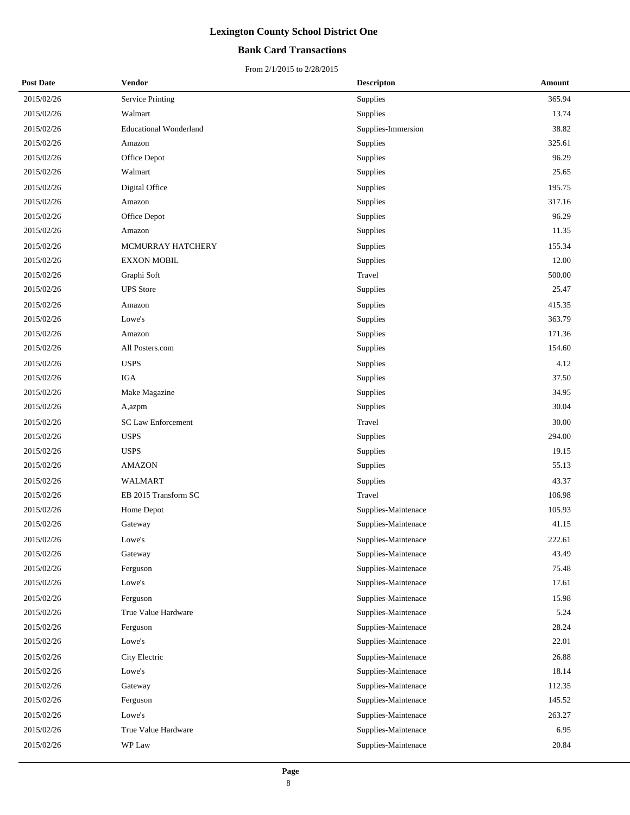## **Bank Card Transactions**

| <b>Post Date</b> | Vendor                        | <b>Descripton</b>   | Amount |
|------------------|-------------------------------|---------------------|--------|
| 2015/02/26       | Service Printing              | Supplies            | 365.94 |
| 2015/02/26       | Walmart                       | Supplies            | 13.74  |
| 2015/02/26       | <b>Educational Wonderland</b> | Supplies-Immersion  | 38.82  |
| 2015/02/26       | Amazon                        | Supplies            | 325.61 |
| 2015/02/26       | Office Depot                  | Supplies            | 96.29  |
| 2015/02/26       | Walmart                       | Supplies            | 25.65  |
| 2015/02/26       | Digital Office                | Supplies            | 195.75 |
| 2015/02/26       | Amazon                        | Supplies            | 317.16 |
| 2015/02/26       | Office Depot                  | Supplies            | 96.29  |
| 2015/02/26       | Amazon                        | Supplies            | 11.35  |
| 2015/02/26       | MCMURRAY HATCHERY             | Supplies            | 155.34 |
| 2015/02/26       | <b>EXXON MOBIL</b>            | Supplies            | 12.00  |
| 2015/02/26       | Graphi Soft                   | Travel              | 500.00 |
| 2015/02/26       | <b>UPS</b> Store              | Supplies            | 25.47  |
| 2015/02/26       | Amazon                        | Supplies            | 415.35 |
| 2015/02/26       | Lowe's                        | Supplies            | 363.79 |
| 2015/02/26       | Amazon                        | Supplies            | 171.36 |
| 2015/02/26       | All Posters.com               | Supplies            | 154.60 |
| 2015/02/26       | <b>USPS</b>                   | Supplies            | 4.12   |
| 2015/02/26       | <b>IGA</b>                    | Supplies            | 37.50  |
| 2015/02/26       | Make Magazine                 | Supplies            | 34.95  |
| 2015/02/26       | A,azpm                        | Supplies            | 30.04  |
| 2015/02/26       | <b>SC Law Enforcement</b>     | Travel              | 30.00  |
| 2015/02/26       | <b>USPS</b>                   | Supplies            | 294.00 |
| 2015/02/26       | <b>USPS</b>                   | Supplies            | 19.15  |
| 2015/02/26       | <b>AMAZON</b>                 | Supplies            | 55.13  |
| 2015/02/26       | WALMART                       | Supplies            | 43.37  |
| 2015/02/26       | EB 2015 Transform SC          | Travel              | 106.98 |
| 2015/02/26       | Home Depot                    | Supplies-Maintenace | 105.93 |
| 2015/02/26       | Gateway                       | Supplies-Maintenace | 41.15  |
| 2015/02/26       | Lowe's                        | Supplies-Maintenace | 222.61 |
| 2015/02/26       | Gateway                       | Supplies-Maintenace | 43.49  |
| 2015/02/26       | Ferguson                      | Supplies-Maintenace | 75.48  |
| 2015/02/26       | Lowe's                        | Supplies-Maintenace | 17.61  |
| 2015/02/26       | Ferguson                      | Supplies-Maintenace | 15.98  |
| 2015/02/26       | True Value Hardware           | Supplies-Maintenace | 5.24   |
| 2015/02/26       | Ferguson                      | Supplies-Maintenace | 28.24  |
| 2015/02/26       | Lowe's                        | Supplies-Maintenace | 22.01  |
| 2015/02/26       | City Electric                 | Supplies-Maintenace | 26.88  |
| 2015/02/26       | Lowe's                        | Supplies-Maintenace | 18.14  |
| 2015/02/26       | Gateway                       | Supplies-Maintenace | 112.35 |
| 2015/02/26       | Ferguson                      | Supplies-Maintenace | 145.52 |
| 2015/02/26       | Lowe's                        | Supplies-Maintenace | 263.27 |
| 2015/02/26       | True Value Hardware           | Supplies-Maintenace | 6.95   |
| 2015/02/26       | WP Law                        | Supplies-Maintenace | 20.84  |
|                  |                               |                     |        |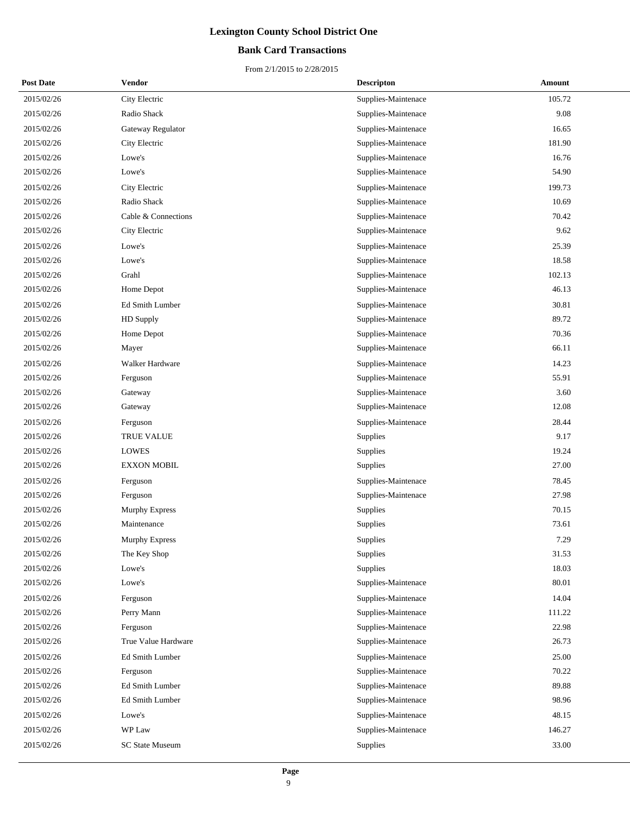## **Bank Card Transactions**

| <b>Post Date</b> | Vendor              | <b>Descripton</b>   | Amount |
|------------------|---------------------|---------------------|--------|
| 2015/02/26       | City Electric       | Supplies-Maintenace | 105.72 |
| 2015/02/26       | Radio Shack         | Supplies-Maintenace | 9.08   |
| 2015/02/26       | Gateway Regulator   | Supplies-Maintenace | 16.65  |
| 2015/02/26       | City Electric       | Supplies-Maintenace | 181.90 |
| 2015/02/26       | Lowe's              | Supplies-Maintenace | 16.76  |
| 2015/02/26       | Lowe's              | Supplies-Maintenace | 54.90  |
| 2015/02/26       | City Electric       | Supplies-Maintenace | 199.73 |
| 2015/02/26       | Radio Shack         | Supplies-Maintenace | 10.69  |
| 2015/02/26       | Cable & Connections | Supplies-Maintenace | 70.42  |
| 2015/02/26       | City Electric       | Supplies-Maintenace | 9.62   |
| 2015/02/26       | Lowe's              | Supplies-Maintenace | 25.39  |
| 2015/02/26       | Lowe's              | Supplies-Maintenace | 18.58  |
| 2015/02/26       | Grahl               | Supplies-Maintenace | 102.13 |
| 2015/02/26       | Home Depot          | Supplies-Maintenace | 46.13  |
| 2015/02/26       | Ed Smith Lumber     | Supplies-Maintenace | 30.81  |
| 2015/02/26       | HD Supply           | Supplies-Maintenace | 89.72  |
| 2015/02/26       | Home Depot          | Supplies-Maintenace | 70.36  |
| 2015/02/26       | Mayer               | Supplies-Maintenace | 66.11  |
| 2015/02/26       | Walker Hardware     | Supplies-Maintenace | 14.23  |
| 2015/02/26       | Ferguson            | Supplies-Maintenace | 55.91  |
| 2015/02/26       | Gateway             | Supplies-Maintenace | 3.60   |
| 2015/02/26       | Gateway             | Supplies-Maintenace | 12.08  |
| 2015/02/26       | Ferguson            | Supplies-Maintenace | 28.44  |
| 2015/02/26       | <b>TRUE VALUE</b>   | Supplies            | 9.17   |
| 2015/02/26       | LOWES               | Supplies            | 19.24  |
| 2015/02/26       | <b>EXXON MOBIL</b>  | Supplies            | 27.00  |
| 2015/02/26       | Ferguson            | Supplies-Maintenace | 78.45  |
| 2015/02/26       | Ferguson            | Supplies-Maintenace | 27.98  |
| 2015/02/26       | Murphy Express      | Supplies            | 70.15  |
| 2015/02/26       | Maintenance         | Supplies            | 73.61  |
| 2015/02/26       | Murphy Express      | Supplies            | 7.29   |
| 2015/02/26       | The Key Shop        | Supplies            | 31.53  |
| 2015/02/26       | Lowe's              | Supplies            | 18.03  |
| 2015/02/26       | Lowe's              | Supplies-Maintenace | 80.01  |
| 2015/02/26       | Ferguson            | Supplies-Maintenace | 14.04  |
| 2015/02/26       | Perry Mann          | Supplies-Maintenace | 111.22 |
| 2015/02/26       | Ferguson            | Supplies-Maintenace | 22.98  |
| 2015/02/26       | True Value Hardware | Supplies-Maintenace | 26.73  |
| 2015/02/26       | Ed Smith Lumber     | Supplies-Maintenace | 25.00  |
| 2015/02/26       | Ferguson            | Supplies-Maintenace | 70.22  |
| 2015/02/26       | Ed Smith Lumber     | Supplies-Maintenace | 89.88  |
| 2015/02/26       | Ed Smith Lumber     | Supplies-Maintenace | 98.96  |
| 2015/02/26       | Lowe's              | Supplies-Maintenace | 48.15  |
| 2015/02/26       | WP Law              | Supplies-Maintenace | 146.27 |
| 2015/02/26       | SC State Museum     | Supplies            | 33.00  |
|                  |                     |                     |        |